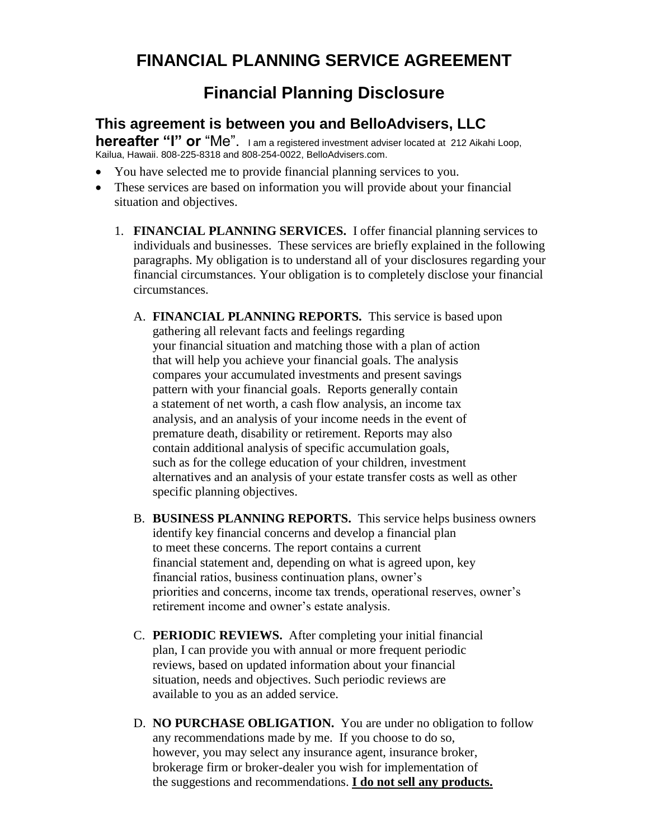## **FINANCIAL PLANNING SERVICE AGREEMENT**

## **Financial Planning Disclosure**

## **This agreement is between you and BelloAdvisers, LLC**

**hereafter "I" or "Me".** I am a registered investment adviser located at 212 Aikahi Loop, Kailua, Hawaii. 808-225-8318 and 808-254-0022, BelloAdvisers.com.

- You have selected me to provide financial planning services to you.
- These services are based on information you will provide about your financial situation and objectives.
	- 1. **FINANCIAL PLANNING SERVICES.** I offer financial planning services to individuals and businesses. These services are briefly explained in the following paragraphs. My obligation is to understand all of your disclosures regarding your financial circumstances. Your obligation is to completely disclose your financial circumstances.
		- A. **FINANCIAL PLANNING REPORTS.** This service is based upon gathering all relevant facts and feelings regarding your financial situation and matching those with a plan of action that will help you achieve your financial goals. The analysis compares your accumulated investments and present savings pattern with your financial goals. Reports generally contain a statement of net worth, a cash flow analysis, an income tax analysis, and an analysis of your income needs in the event of premature death, disability or retirement. Reports may also contain additional analysis of specific accumulation goals, such as for the college education of your children, investment alternatives and an analysis of your estate transfer costs as well as other specific planning objectives.
		- B. **BUSINESS PLANNING REPORTS.** This service helps business owners identify key financial concerns and develop a financial plan to meet these concerns. The report contains a current financial statement and, depending on what is agreed upon, key financial ratios, business continuation plans, owner's priorities and concerns, income tax trends, operational reserves, owner's retirement income and owner's estate analysis.
		- C. **PERIODIC REVIEWS.** After completing your initial financial plan, I can provide you with annual or more frequent periodic reviews, based on updated information about your financial situation, needs and objectives. Such periodic reviews are available to you as an added service.
		- D. **NO PURCHASE OBLIGATION.** You are under no obligation to follow any recommendations made by me. If you choose to do so, however, you may select any insurance agent, insurance broker, brokerage firm or broker-dealer you wish for implementation of the suggestions and recommendations. **I do not sell any products.**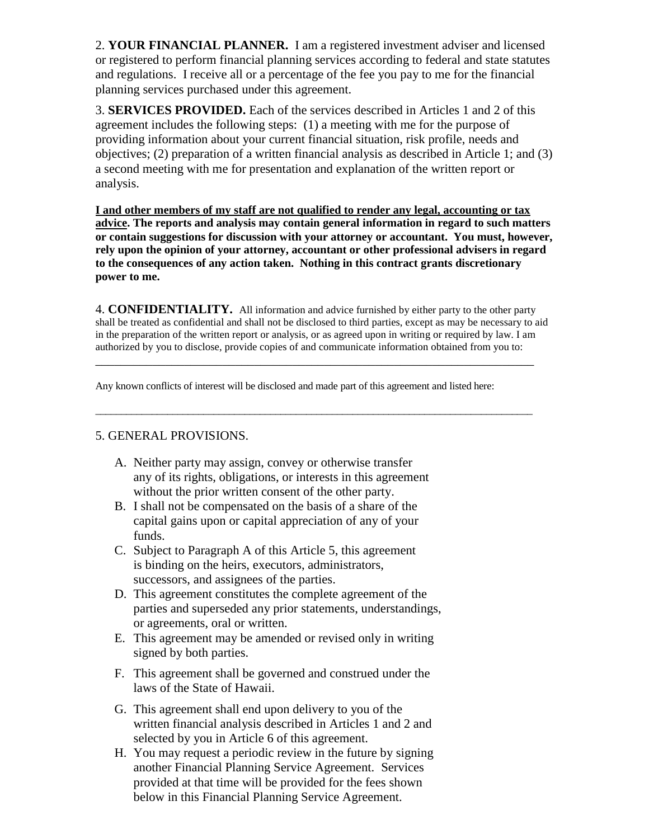2. **YOUR FINANCIAL PLANNER.** I am a registered investment adviser and licensed or registered to perform financial planning services according to federal and state statutes and regulations. I receive all or a percentage of the fee you pay to me for the financial planning services purchased under this agreement.

3. **SERVICES PROVIDED.** Each of the services described in Articles 1 and 2 of this agreement includes the following steps: (1) a meeting with me for the purpose of providing information about your current financial situation, risk profile, needs and objectives; (2) preparation of a written financial analysis as described in Article 1; and (3) a second meeting with me for presentation and explanation of the written report or analysis.

**I and other members of my staff are not qualified to render any legal, accounting or tax advice. The reports and analysis may contain general information in regard to such matters or contain suggestions for discussion with your attorney or accountant. You must, however, rely upon the opinion of your attorney, accountant or other professional advisers in regard to the consequences of any action taken. Nothing in this contract grants discretionary power to me.**

4. **CONFIDENTIALITY.** All information and advice furnished by either party to the other party shall be treated as confidential and shall not be disclosed to third parties, except as may be necessary to aid in the preparation of the written report or analysis, or as agreed upon in writing or required by law. I am authorized by you to disclose, provide copies of and communicate information obtained from you to:

\_\_\_\_\_\_\_\_\_\_\_\_\_\_\_\_\_\_\_\_\_\_\_\_\_\_\_\_\_\_\_\_\_\_\_\_\_\_\_\_\_\_\_\_\_\_\_\_\_\_\_\_\_\_\_\_\_\_\_\_\_\_\_\_\_\_\_\_\_

 $\_$  , and the set of the set of the set of the set of the set of the set of the set of the set of the set of the set of the set of the set of the set of the set of the set of the set of the set of the set of the set of th

Any known conflicts of interest will be disclosed and made part of this agreement and listed here:

## 5. GENERAL PROVISIONS.

- A. Neither party may assign, convey or otherwise transfer any of its rights, obligations, or interests in this agreement without the prior written consent of the other party.
- B. I shall not be compensated on the basis of a share of the capital gains upon or capital appreciation of any of your funds.
- C. Subject to Paragraph A of this Article 5, this agreement is binding on the heirs, executors, administrators, successors, and assignees of the parties.
- D. This agreement constitutes the complete agreement of the parties and superseded any prior statements, understandings, or agreements, oral or written.
- E. This agreement may be amended or revised only in writing signed by both parties.
- F. This agreement shall be governed and construed under the laws of the State of Hawaii.
- G. This agreement shall end upon delivery to you of the written financial analysis described in Articles 1 and 2 and selected by you in Article 6 of this agreement.
- H. You may request a periodic review in the future by signing another Financial Planning Service Agreement. Services provided at that time will be provided for the fees shown below in this Financial Planning Service Agreement.